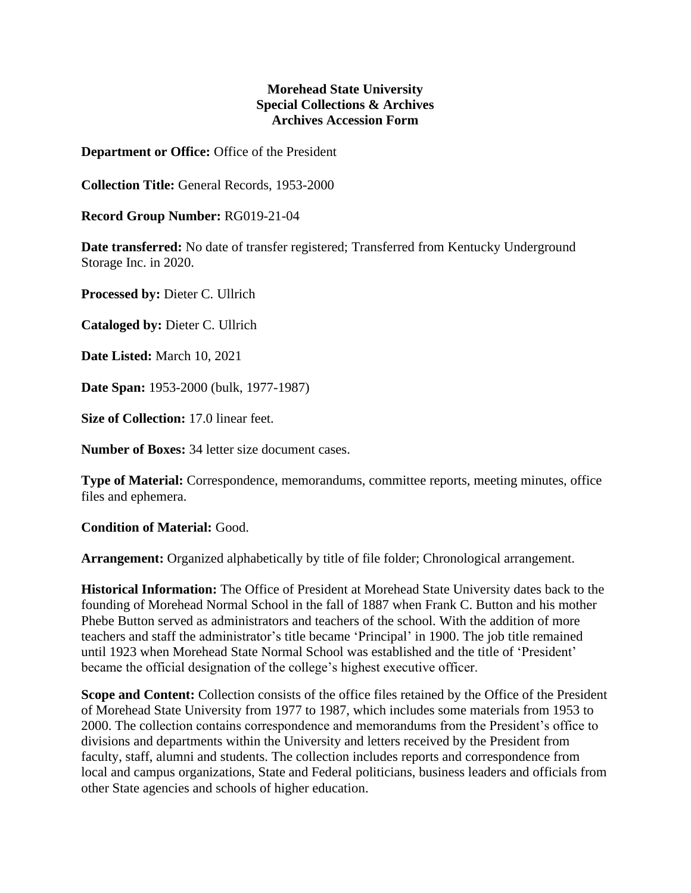## **Morehead State University Special Collections & Archives Archives Accession Form**

**Department or Office:** Office of the President

**Collection Title:** General Records, 1953-2000

**Record Group Number:** RG019-21-04

**Date transferred:** No date of transfer registered; Transferred from Kentucky Underground Storage Inc. in 2020.

**Processed by:** Dieter C. Ullrich

**Cataloged by:** Dieter C. Ullrich

**Date Listed:** March 10, 2021

**Date Span:** 1953-2000 (bulk, 1977-1987)

**Size of Collection:** 17.0 linear feet.

**Number of Boxes:** 34 letter size document cases.

**Type of Material:** Correspondence, memorandums, committee reports, meeting minutes, office files and ephemera.

**Condition of Material:** Good.

**Arrangement:** Organized alphabetically by title of file folder; Chronological arrangement.

**Historical Information:** The Office of President at Morehead State University dates back to the founding of Morehead Normal School in the fall of 1887 when Frank C. Button and his mother Phebe Button served as administrators and teachers of the school. With the addition of more teachers and staff the administrator's title became 'Principal' in 1900. The job title remained until 1923 when Morehead State Normal School was established and the title of 'President' became the official designation of the college's highest executive officer.

**Scope and Content:** Collection consists of the office files retained by the Office of the President of Morehead State University from 1977 to 1987, which includes some materials from 1953 to 2000. The collection contains correspondence and memorandums from the President's office to divisions and departments within the University and letters received by the President from faculty, staff, alumni and students. The collection includes reports and correspondence from local and campus organizations, State and Federal politicians, business leaders and officials from other State agencies and schools of higher education.